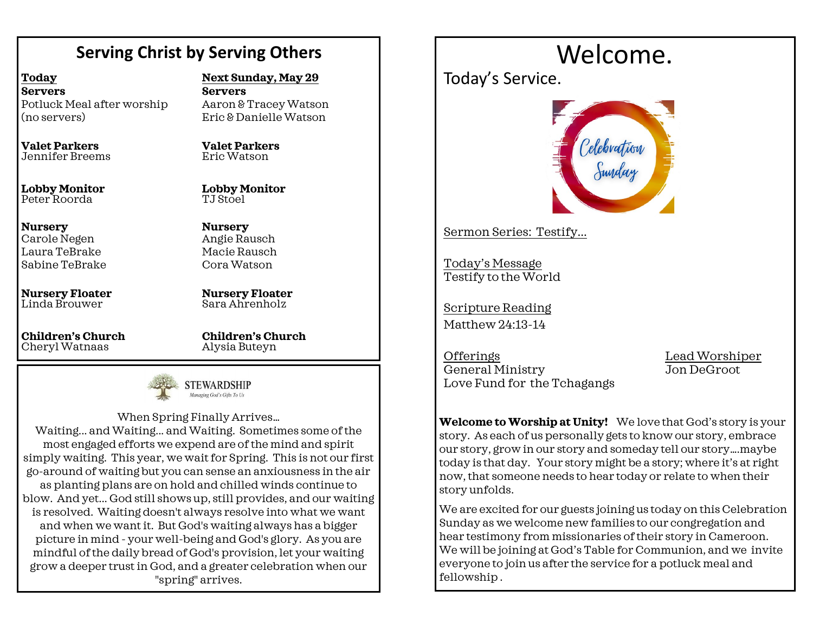### **Serving Christ by Serving Others**

**Servers**

**Valet Parkers** Eric Watson

**Lobby Monitor**

TJ Stoel

**Nursery** Angie Rausch Macie Rausch Cora Watson

**Today Servers** Potluck Meal after worship (no servers)

**Valet Parkers** Jennifer Breems

**Lobby Monitor** Peter Roorda

**Nursery** Carole Negen Laura TeBrake Sabine TeBrake

**Nursery Floater** Linda Brouwer

**Children's Church**  Cheryl Watnaas

**Children's Church** 

**Nursery Floater** Sara Ahrenholz

**Next Sunday, May 29**

Aaron & Tracey Watson Eric & Danielle Watson

Alysia Buteyn



When Spring Finally Arrives… Waiting... and Waiting... and Waiting. Sometimes some of the most engaged efforts we expend are of the mind and spirit simply waiting. This year, we wait for Spring. This is not our first go-around of waiting but you can sense an anxiousness in the air as planting plans are on hold and chilled winds continue to blow. And yet... God still shows up, still provides, and our waiting is resolved. Waiting doesn't always resolve into what we want and when we want it. But God's waiting always has a bigger picture in mind - your well-being and God's glory. As you are mindful of the daily bread of God's provision, let your waiting grow a deeper trust in God, and a greater celebration when our "spring" arrives.

# Welcome.

Today's Service.



Sermon Series: Testify...

Today's Message Testify to the World

Scripture Reading Matthew 24:13-14

OfferingsLead Worshiper General Ministry Jon DeGroot Love Fund for the Tchagangs

**Welcome to Worship at Unity!** We love that God's story is your story. As each of us personally gets to know our story, embrace our story, grow in our story and someday tell our story….maybe today is that day. Your story might be a story; where it's at right now, that someone needs to hear today or relate to when their story unfolds.

We are excited for our guests joining us today on this Celebration Sunday as we welcome new families to our congregation and hear testimony from missionaries of their story in Cameroon. We will be joining at God's Table for Communion, and we invite everyone to join us after the service for a potluck meal and fellowship .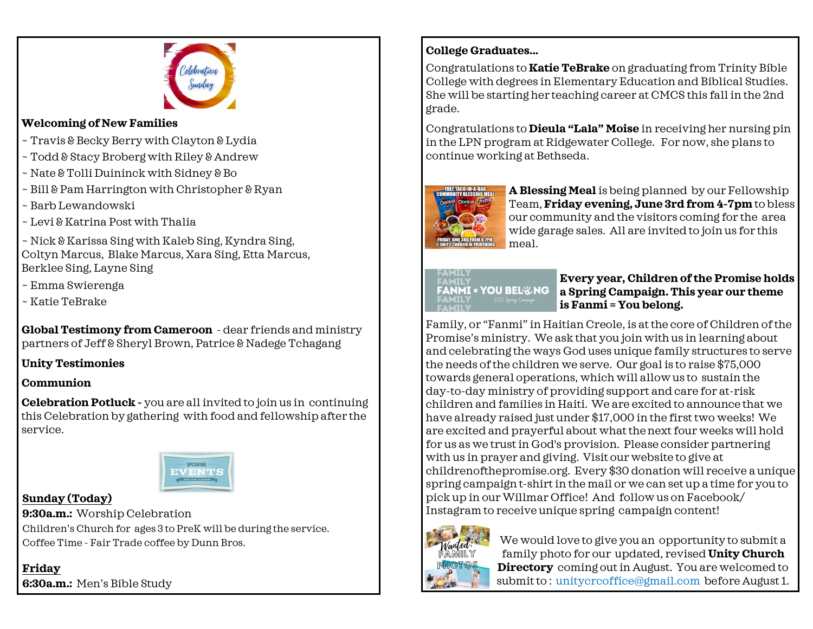

#### **Welcoming of New Families**

- ~ Travis & Becky Berry with Clayton & Lydia
- ~ Todd & Stacy Broberg with Riley & Andrew
- ~ Nate & Tolli Duininck with Sidney & Bo
- ~ Bill & Pam Harrington with Christopher & Ryan
- ~ Barb Lewandowski
- ~ Levi & Katrina Post with Thalia

~ Nick & Karissa Sing with Kaleb Sing, Kyndra Sing, Coltyn Marcus, Blake Marcus, Xara Sing, Etta Marcus, Berklee Sing, Layne Sing

- ~ Emma Swierenga
- ~ Katie TeBrake

**Global Testimony from Cameroon** - dear friends and ministry partners of Jeff & Sheryl Brown, Patrice & Nadege Tchagang

#### **Unity Testimonies**

#### **Communion**

**Celebration Potluck -** you are all invited to join us in continuing this Celebration by gathering with food and fellowship after the service.



#### **Sunday (Today)**

**9:30a.m.:** Worship Celebration Children's Church for ages 3 to PreK will be during the service. Coffee Time - Fair Trade coffee by Dunn Bros.

**Friday 6:30a.m.:** Men's Bible Study

#### **College Graduates...**

Congratulations to **Katie TeBrake** on graduating from Trinity Bible College with degrees in Elementary Education and Biblical Studies. She will be starting her teaching career at CMCS this fall in the 2nd grade.

Congratulations to **Dieula "Lala" Moise** in receiving her nursing pin in the LPN program at Ridgewater College. For now, she plans to continue working at Bethseda.



**A Blessing Meal** is being planned by our Fellowship Team, **Friday evening, June 3rd from 4-7pm** to bless our community and the visitors coming for the area wide garage sales. All are invited to join us for this meal.

## FAMILY **FANMI = YOU BEL&NG**

#### **Every year, Children of the Promise holds a Spring Campaign. This year our theme is Fanmi = You belong.**

Family, or "Fanmi" in Haitian Creole, is at the core of Children of the Promise's ministry. We ask that you join with us in learning about and celebrating the ways God uses unique family structures to serve the needs of the children we serve. Our goal is to raise \$75,000 towards general operations, which will allow us to sustain the day-to-day ministry of providing support and care for at-risk children and families in Haiti. We are excited to announce that we have already raised just under \$17,000 in the first two weeks! We are excited and prayerful about what thenext four weeks will hold for us as we trust in God's provision. Please consider partnering with us in prayer and giving. Visit our website to give at childrenofthepromise.org. Every \$30 donation will receive a unique spring campaign t-shirt in the mail or we can set up a time for you to pick up in our Willmar Office! And follow us on Facebook/ Instagram to receive unique spring campaign content!



We would love to give you an opportunity to submit a family photo for our updated, revised **Unity Church Directory** coming out in August. You are welcomed to submit to : unitycrcoffice@gmail.com before August 1.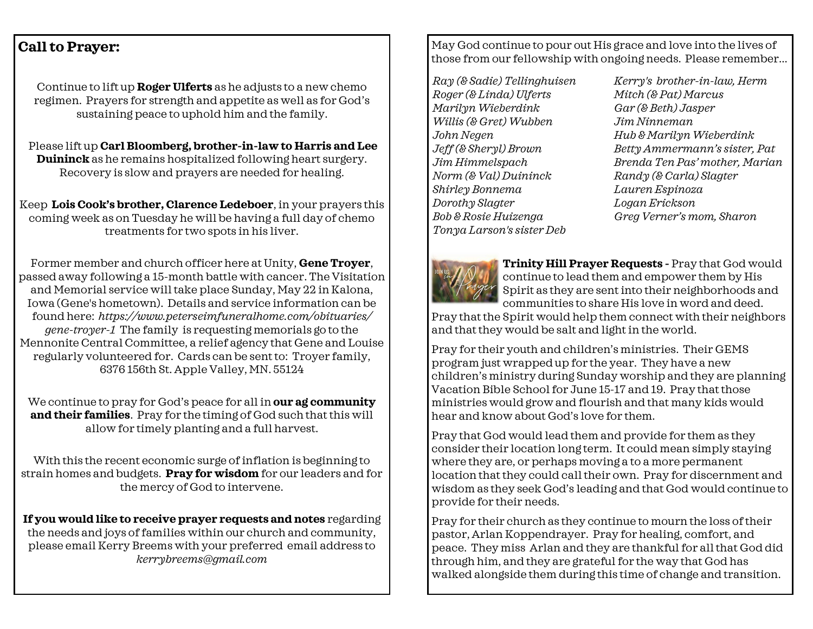#### **Call to Prayer:**

Continue to lift up **Roger Ulferts** as he adjusts to a new chemo regimen. Prayers for strength and appetite as well as for God's sustaining peace to uphold him and the family.

Please lift up **Carl Bloomberg, brother-in-law to Harris and Lee Duininck** as he remains hospitalized following heart surgery. Recovery is slow and prayers are needed for healing.

Keep **Lois Cook's brother, Clarence Ledeboer**, in your prayers this coming week as on Tuesday he will be having a full day of chemo treatments for two spots in his liver.

Former member and church officer here at Unity, **Gene Troyer**, passed away following a 15-month battle with cancer. The Visitation and Memorial service will take place Sunday, May 22 in Kalona, Iowa (Gene's hometown). Details and service information can be found here: *https://www.peterseimfuneralhome.com/obituaries/ gene-troyer-1* The family is requesting memorials go to the Mennonite Central Committee, a relief agency that Gene and Louise regularly volunteered for. Cards can be sent to: Troyer family, 6376 156th St. Apple Valley, MN. 55124

We continue to pray for God's peace for all in **our ag community and their families**. Pray for the timing of God such that this will allow for timely planting and a full harvest.

With this the recent economic surge of inflation is beginning to strain homes and budgets. **Pray for wisdom** for our leaders and for the mercy of God to intervene.

**If you would like to receive prayer requests and notes** regarding the needs and joys of families within our church and community, please email Kerry Breems with your preferred email address to *kerrybreems@gmail.com*

May God continue to pour out His grace and love into the lives of those from our fellowship with ongoing needs. Please remember...

*Ray (& Sadie) Tellinghuisen Roger (& Linda) Ulferts Marilyn Wieberdink Willis (& Gret) Wubben John Negen Jeff (& Sheryl) Brown Jim Himmelspach Norm (& Val) Duininck Shirley Bonnema Dorothy Slagter Bob & Rosie Huizenga Tonya Larson's sister Deb* 

*Kerry's brother-in-law, Herm Mitch (& Pat) Marcus Gar (& Beth) Jasper Jim Ninneman Hub & Marilyn Wieberdink Betty Ammermann's sister, Pat Brenda Ten Pas' mother, Marian Randy (& Carla) Slagter Lauren Espinoza Logan Erickson Greg Verner's mom, Sharon*



**Trinity Hill Prayer Requests -** Pray that God would continue to lead them and empower them by His Spirit as they are sent into their neighborhoods and communities to share His love in word and deed.

Pray that the Spirit would help them connect with their neighbors and that they would be salt and light in the world.

Pray for their youth and children's ministries. Their GEMS program just wrapped up for the year. They have a new children's ministry during Sunday worship and they are planning Vacation Bible School for June 15-17 and 19. Pray that those ministries would grow and flourish and that many kids would hear and know about God's love for them.

Pray that God would lead them and provide for them as they consider their location long term. It could mean simply staying where they are, or perhaps moving a to a more permanent location that they could call their own. Pray for discernment and wisdom as they seek God's leading and that God would continue to provide for their needs.

Pray for their church as they continue to mourn the loss of their pastor, Arlan Koppendrayer. Pray for healing, comfort, and peace. They miss Arlan and they are thankful for all that God did through him, and they are grateful for the way that God has walked alongside them during this time of change and transition.